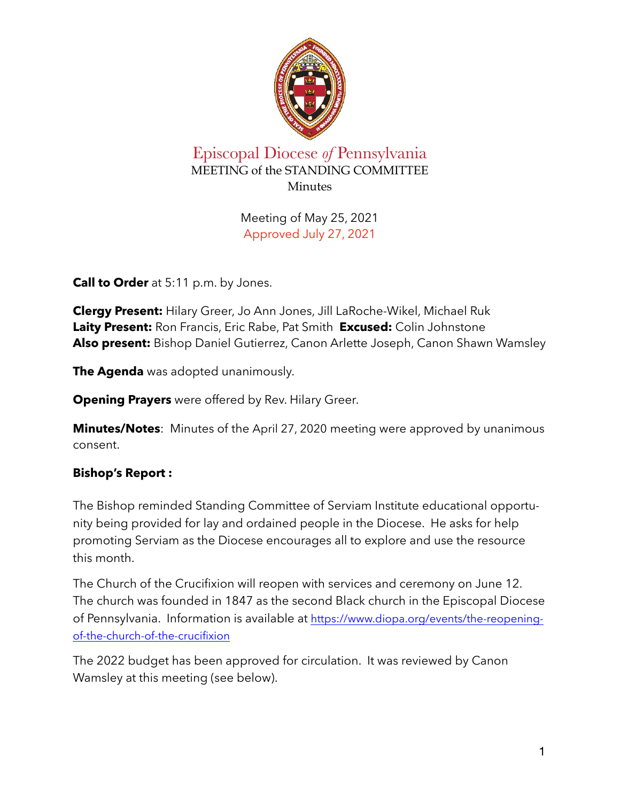

## Episcopal Diocese *of* Pennsylvania MEETING of the STANDING COMMITTEE **Minutes**

Meeting of May 25, 2021 Approved July 27, 2021

**Call to Order** at 5:11 p.m. by Jones.

**Clergy Present:** Hilary Greer, Jo Ann Jones, Jill LaRoche-Wikel, Michael Ruk **Laity Present:** Ron Francis, Eric Rabe, Pat Smith **Excused:** Colin Johnstone **Also present:** Bishop Daniel Gutierrez, Canon Arlette Joseph, Canon Shawn Wamsley

**The Agenda** was adopted unanimously.

**Opening Prayers** were offered by Rev. Hilary Greer.

**Minutes/Notes**: Minutes of the April 27, 2020 meeting were approved by unanimous consent.

## **Bishop's Report :**

The Bishop reminded Standing Committee of Serviam Institute educational opportunity being provided for lay and ordained people in the Diocese. He asks for help promoting Serviam as the Diocese encourages all to explore and use the resource this month.

The Church of the Crucifixion will reopen with services and ceremony on June 12. The church was founded in 1847 as the second Black church in the Episcopal Diocese of Pennsylvania. Information is available at [https://www.diopa.org/events/the-reopening](https://www.diopa.org/events/the-reopening-of-the-church-of-the-crucifixion)[of-the-church-of-the-crucifixion](https://www.diopa.org/events/the-reopening-of-the-church-of-the-crucifixion)

The 2022 budget has been approved for circulation. It was reviewed by Canon Wamsley at this meeting (see below).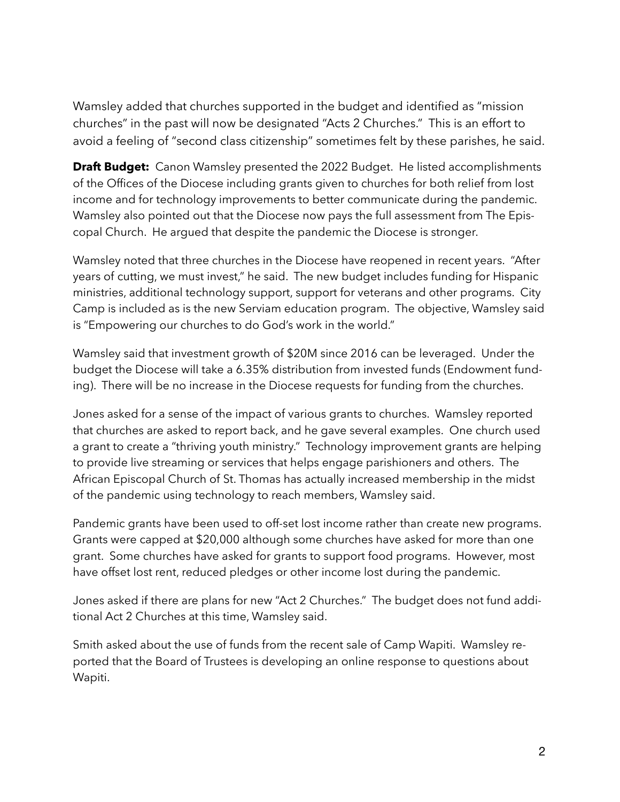Wamsley added that churches supported in the budget and identified as "mission churches" in the past will now be designated "Acts 2 Churches." This is an effort to avoid a feeling of "second class citizenship" sometimes felt by these parishes, he said.

**Draft Budget:** Canon Wamsley presented the 2022 Budget. He listed accomplishments of the Offices of the Diocese including grants given to churches for both relief from lost income and for technology improvements to better communicate during the pandemic. Wamsley also pointed out that the Diocese now pays the full assessment from The Episcopal Church. He argued that despite the pandemic the Diocese is stronger.

Wamsley noted that three churches in the Diocese have reopened in recent years. "After years of cutting, we must invest," he said. The new budget includes funding for Hispanic ministries, additional technology support, support for veterans and other programs. City Camp is included as is the new Serviam education program. The objective, Wamsley said is "Empowering our churches to do God's work in the world."

Wamsley said that investment growth of \$20M since 2016 can be leveraged. Under the budget the Diocese will take a 6.35% distribution from invested funds (Endowment funding). There will be no increase in the Diocese requests for funding from the churches.

Jones asked for a sense of the impact of various grants to churches. Wamsley reported that churches are asked to report back, and he gave several examples. One church used a grant to create a "thriving youth ministry." Technology improvement grants are helping to provide live streaming or services that helps engage parishioners and others. The African Episcopal Church of St. Thomas has actually increased membership in the midst of the pandemic using technology to reach members, Wamsley said.

Pandemic grants have been used to off-set lost income rather than create new programs. Grants were capped at \$20,000 although some churches have asked for more than one grant. Some churches have asked for grants to support food programs. However, most have offset lost rent, reduced pledges or other income lost during the pandemic.

Jones asked if there are plans for new "Act 2 Churches." The budget does not fund additional Act 2 Churches at this time, Wamsley said.

Smith asked about the use of funds from the recent sale of Camp Wapiti. Wamsley reported that the Board of Trustees is developing an online response to questions about Wapiti.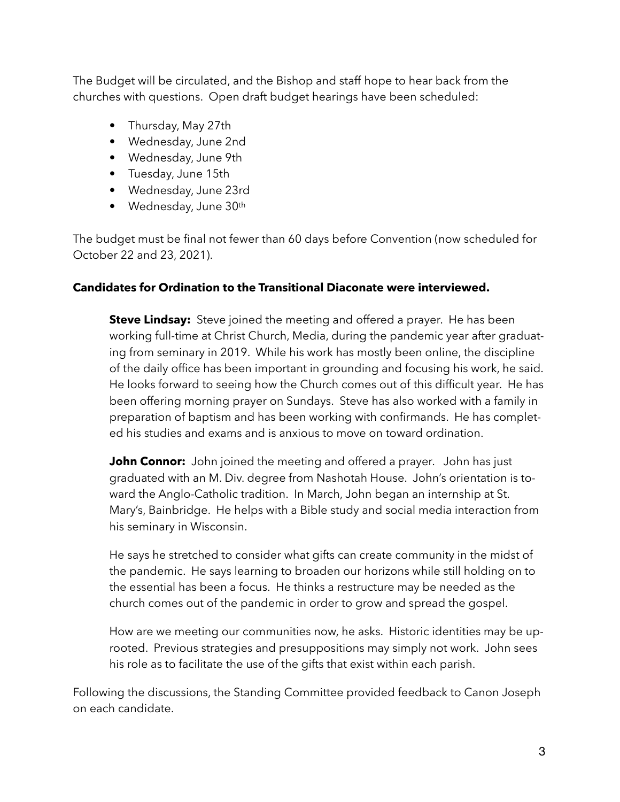The Budget will be circulated, and the Bishop and staff hope to hear back from the churches with questions. Open draft budget hearings have been scheduled:

- Thursday, May 27th
- Wednesday, June 2nd
- Wednesday, June 9th
- Tuesday, June 15th
- Wednesday, June 23rd
- Wednesday, June 30th

The budget must be final not fewer than 60 days before Convention (now scheduled for October 22 and 23, 2021).

## **Candidates for Ordination to the Transitional Diaconate were interviewed.**

**Steve Lindsay:** Steve joined the meeting and offered a prayer. He has been working full-time at Christ Church, Media, during the pandemic year after graduating from seminary in 2019. While his work has mostly been online, the discipline of the daily office has been important in grounding and focusing his work, he said. He looks forward to seeing how the Church comes out of this difficult year. He has been offering morning prayer on Sundays. Steve has also worked with a family in preparation of baptism and has been working with confirmands. He has completed his studies and exams and is anxious to move on toward ordination.

**John Connor:** John joined the meeting and offered a prayer. John has just graduated with an M. Div. degree from Nashotah House. John's orientation is toward the Anglo-Catholic tradition. In March, John began an internship at St. Mary's, Bainbridge. He helps with a Bible study and social media interaction from his seminary in Wisconsin.

He says he stretched to consider what gifts can create community in the midst of the pandemic. He says learning to broaden our horizons while still holding on to the essential has been a focus. He thinks a restructure may be needed as the church comes out of the pandemic in order to grow and spread the gospel.

How are we meeting our communities now, he asks. Historic identities may be uprooted. Previous strategies and presuppositions may simply not work. John sees his role as to facilitate the use of the gifts that exist within each parish.

Following the discussions, the Standing Committee provided feedback to Canon Joseph on each candidate.